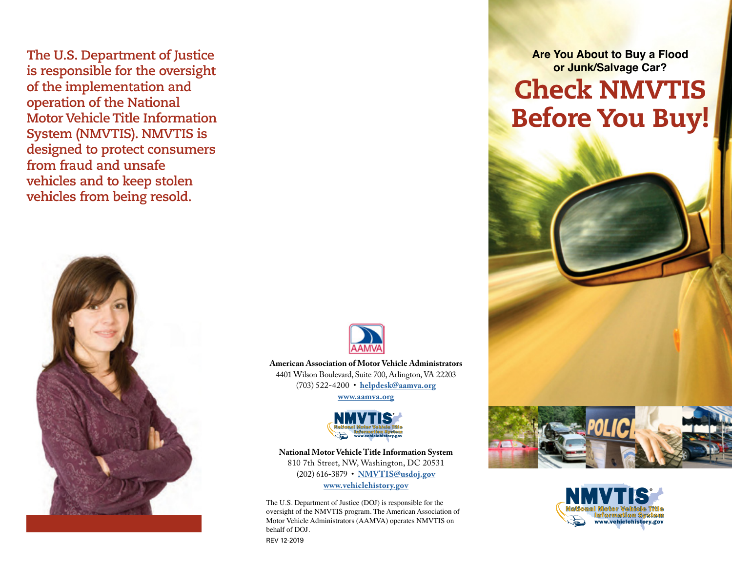**The U.S. Department of Justice is responsible for the oversight of the implementation and operation of the National Motor Vehicle Title Information System (NMVTIS). NMVTIS is designed to protect consumers from fraud and unsafe vehicles and to keep stolen vehicles from being resold.**



**Are You About to Buy a Flood or Junk/Salvage Car?**

## Check NMVTIS Before You Buy!



**American Association of Motor Vehicle Administrators** 4401 Wilson Boulevard, Suite 700, Arlington, VA 22203 (703) 522-4200 • **helpdesk@aamva.org**

**[www.aamva.org](http://www.aamva.org)**



**National Motor Vehicle Title Information System** 810 7th Street, NW, Washington, DC 20531 (202) 616-3879 • **[NMVTIS@usdoj.gov](mailto:NMVTIS%40usdoj.gov?subject=Information%20Request) [www.vehiclehistory.gov](http://www.vehiclehistory.gov)**

The U.S. Department of Justice (DOJ) is responsible for the oversight of the NMVTIS program. The American Association of Motor Vehicle Administrators (AAMVA) operates NMVTIS on behalf of DOJ.

REV 12-2019